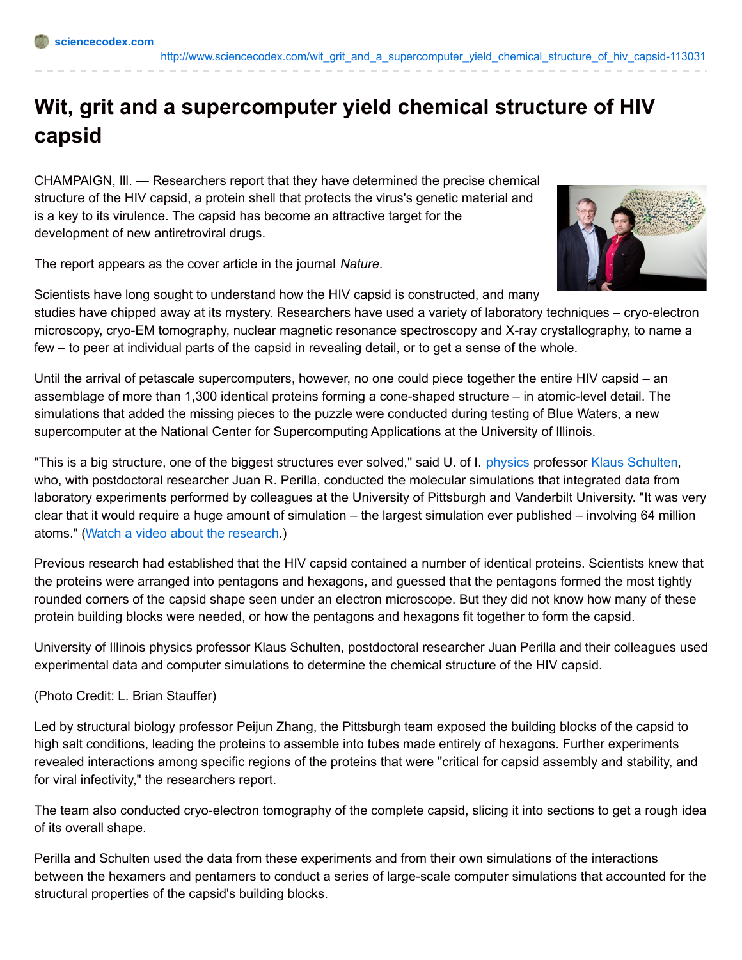## **Wit, grit and a supercomputer yield chemical structure of HIV capsid**

CHAMPAIGN, Ill. — Researchers report that they have determined the precise chemical structure of the HIV capsid, a protein shell that protects the virus's genetic material and is a key to its virulence. The capsid has become an attractive target for the development of new antiretroviral drugs.



The report appears as the cover article in the journal *Nature*.

Scientists have long sought to understand how the HIV capsid is constructed, and many studies have chipped away at its mystery. Researchers have used a variety of laboratory techniques – cryo-electron microscopy, cryo-EM tomography, nuclear magnetic resonance spectroscopy and X-ray crystallography, to name a few – to peer at individual parts of the capsid in revealing detail, or to get a sense of the whole.

Until the arrival of petascale supercomputers, however, no one could piece together the entire HIV capsid – an assemblage of more than 1,300 identical proteins forming a cone-shaped structure – in atomic-level detail. The simulations that added the missing pieces to the puzzle were conducted during testing of Blue Waters, a new supercomputer at the National Center for Supercomputing Applications at the University of Illinois.

"This is a big structure, one of the biggest structures ever solved," said U. of I. [physics](http://physics.illinois.edu/) professor Klaus [Schulten](http://physics.illinois.edu/people/profile.asp?schulten), who, with postdoctoral researcher Juan R. Perilla, conducted the molecular simulations that integrated data from laboratory experiments performed by colleagues at the University of Pittsburgh and Vanderbilt University. "It was very clear that it would require a huge amount of simulation – the largest simulation ever published – involving 64 million atoms." (Watch a video about the [research](http://www.youtube.com/watch?v=pupVZl347H0&feature=em-share_video_user).)

Previous research had established that the HIV capsid contained a number of identical proteins. Scientists knew that the proteins were arranged into pentagons and hexagons, and guessed that the pentagons formed the most tightly rounded corners of the capsid shape seen under an electron microscope. But they did not know how many of these protein building blocks were needed, or how the pentagons and hexagons fit together to form the capsid.

University of Illinois physics professor Klaus Schulten, postdoctoral researcher Juan Perilla and their colleagues used experimental data and computer simulations to determine the chemical structure of the HIV capsid.

## (Photo Credit: L. Brian Stauffer)

Led by structural biology professor Peijun Zhang, the Pittsburgh team exposed the building blocks of the capsid to high salt conditions, leading the proteins to assemble into tubes made entirely of hexagons. Further experiments revealed interactions among specific regions of the proteins that were "critical for capsid assembly and stability, and for viral infectivity," the researchers report.

The team also conducted cryo-electron tomography of the complete capsid, slicing it into sections to get a rough idea of its overall shape.

Perilla and Schulten used the data from these experiments and from their own simulations of the interactions between the hexamers and pentamers to conduct a series of large-scale computer simulations that accounted for the structural properties of the capsid's building blocks.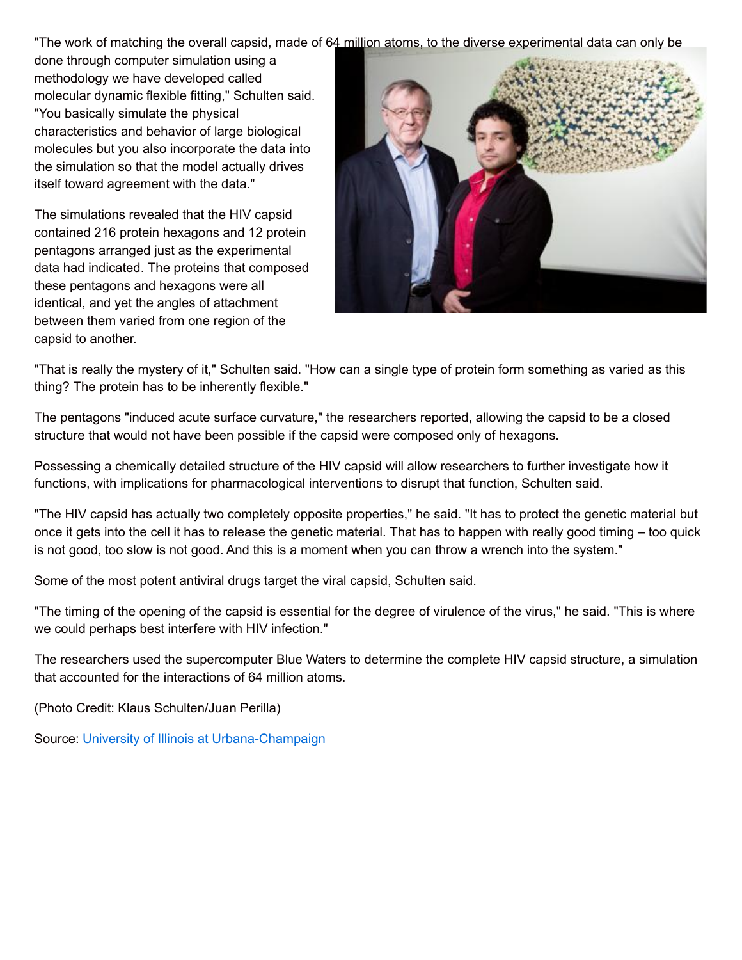"The work of matching the overall capsid, made of 64 million atoms, to the diverse experimental data can only be

done through computer simulation using a methodology we have developed called molecular dynamic flexible fitting," Schulten said. "You basically simulate the physical characteristics and behavior of large biological molecules but you also incorporate the data into the simulation so that the model actually drives itself toward agreement with the data."

The simulations revealed that the HIV capsid contained 216 protein hexagons and 12 protein pentagons arranged just as the experimental data had indicated. The proteins that composed these pentagons and hexagons were all identical, and yet the angles of attachment between them varied from one region of the capsid to another.



"That is really the mystery of it," Schulten said. "How can a single type of protein form something as varied as this thing? The protein has to be inherently flexible."

The pentagons "induced acute surface curvature," the researchers reported, allowing the capsid to be a closed structure that would not have been possible if the capsid were composed only of hexagons.

Possessing a chemically detailed structure of the HIV capsid will allow researchers to further investigate how it functions, with implications for pharmacological interventions to disrupt that function, Schulten said.

"The HIV capsid has actually two completely opposite properties," he said. "It has to protect the genetic material but once it gets into the cell it has to release the genetic material. That has to happen with really good timing – too quick is not good, too slow is not good. And this is a moment when you can throw a wrench into the system."

Some of the most potent antiviral drugs target the viral capsid, Schulten said.

"The timing of the opening of the capsid is essential for the degree of virulence of the virus," he said. "This is where we could perhaps best interfere with HIV infection."

The researchers used the supercomputer Blue Waters to determine the complete HIV capsid structure, a simulation that accounted for the interactions of 64 million atoms.

(Photo Credit: Klaus Schulten/Juan Perilla)

Source: University of Illinois at [Urbana-Champaign](http://www.uiuc.edu/)